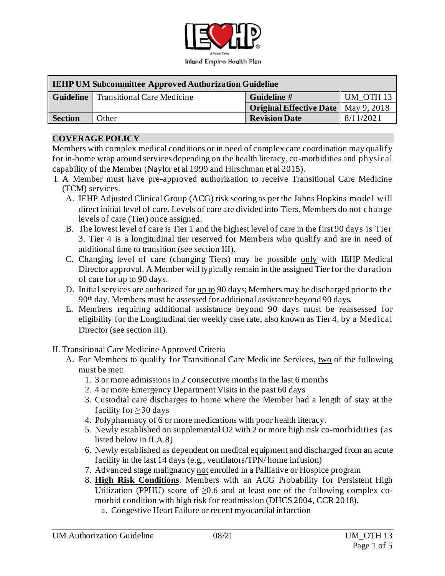

| <b>IEHP UM Subcommittee Approved Authorization Guideline</b> |                                             |                                              |                      |  |  |
|--------------------------------------------------------------|---------------------------------------------|----------------------------------------------|----------------------|--|--|
|                                                              | <b>Guideline</b> Transitional Care Medicine | Guideline #                                  | UM OTH <sub>13</sub> |  |  |
|                                                              |                                             | <b>Original Effective Date</b>   May 9, 2018 |                      |  |  |
| <b>Section</b>                                               | <b>Other</b>                                | <b>Revision Date</b>                         | 8/11/2021            |  |  |

#### **COVERAGE POLICY**

Members with complex medical conditions or in need of complex care coordination may qualify for in-home wrap around services depending on the health literacy, co-morbidities and physical capability of the Member (Naylor et al 1999 and Hirschman et al 2015).

- I. A Member must have pre-approved authorization to receive Transitional Care Medicine (TCM) services.
	- A. IEHP Adjusted Clinical Group (ACG) risk scoring as per the Johns Hopkins model will direct initial level of care. Levels of care are divided into Tiers. Members do not change levels of care (Tier) once assigned.
	- B. The lowest level of care is Tier 1 and the highest level of care in the first 90 days is Tier 3. Tier 4 is a longitudinal tier reserved for Members who qualify and are in need of additional time to transition (see section III).
	- C. Changing level of care (changing Tiers) may be possible only with IEHP Medical Director approval. A Member will typically remain in the assigned Tier for the duration of care for up to 90 days.
	- D. Initial services are authorized for up to 90 days; Members may be discharged prior to the 90th day. Members must be assessed for additional assistance beyond 90 days.
	- E. Members requiring additional assistance beyond 90 days must be reassessed for eligibility for the Longitudinal tier weekly case rate, also known as Tier 4, by a Medical Director (see section III).
- II. Transitional Care Medicine Approved Criteria
	- A. For Members to qualify for Transitional Care Medicine Services, two of the following must be met:
		- 1. 3 or more admissions in 2 consecutive months in the last 6 months
		- 2. 4 or more Emergency Department Visits in the past 60 days
		- 3. Custodial care discharges to home where the Member had a length of stay at the facility for  $\geq$  30 days
		- 4. Polypharmacy of 6 or more medications with poor health literacy.
		- 5. Newly established on supplemental O2 with 2 or more high risk co-morbidities (as listed below in II.A.8)
		- 6. Newly established as dependent on medical equipment and discharged from an acute facility in the last 14 days (e.g., ventilators/TPN/ home infusion)
		- 7. Advanced stage malignancy not enrolled in a Palliative or Hospice program
		- 8. **High Risk Conditions**. Members with an ACG Probability for Persistent High Utilization (PPHU) score of  $\geq 0.6$  and at least one of the following complex comorbid condition with high risk for readmission (DHCS 2004, CCR 2018).
			- a. Congestive Heart Failure or recent myocardial infarction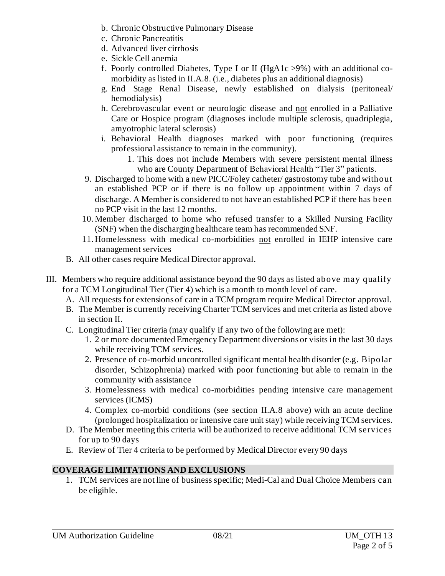- b. Chronic Obstructive Pulmonary Disease
- c. Chronic Pancreatitis
- d. Advanced liver cirrhosis
- e. Sickle Cell anemia
- f. Poorly controlled Diabetes, Type I or II (HgA1c >9%) with an additional comorbidity as listed in II.A.8. (i.e., diabetes plus an additional diagnosis)
- g. End Stage Renal Disease, newly established on dialysis (peritoneal/ hemodialysis)
- h. Cerebrovascular event or neurologic disease and not enrolled in a Palliative Care or Hospice program (diagnoses include multiple sclerosis, quadriplegia, amyotrophic lateral sclerosis)
- i. Behavioral Health diagnoses marked with poor functioning (requires professional assistance to remain in the community).
	- 1. This does not include Members with severe persistent mental illness who are County Department of Behavioral Health "Tier 3" patients.
- 9. Discharged to home with a new PICC/Foley catheter/ gastrostomy tube and without an established PCP or if there is no follow up appointment within 7 days of discharge. A Member is considered to not have an established PCP if there has been no PCP visit in the last 12 months.
- 10. Member discharged to home who refused transfer to a Skilled Nursing Facility (SNF) when the discharging healthcare team has recommended SNF.
- 11. Homelessness with medical co-morbidities not enrolled in IEHP intensive care management services
- B. All other cases require Medical Director approval.
- III. Members who require additional assistance beyond the 90 days as listed above may qualify for a TCM Longitudinal Tier (Tier 4) which is a month to month level of care.
	- A. All requests for extensions of care in a TCM program require Medical Director approval.
	- B. The Member is currently receiving Charter TCM services and met criteria as listed above in section II.
	- C. Longitudinal Tier criteria (may qualify if any two of the following are met):
		- 1. 2 or more documented Emergency Department diversions or visits in the last 30 days while receiving TCM services.
		- 2. Presence of co-morbid uncontrolled significant mental health disorder (e.g. Bipolar disorder, Schizophrenia) marked with poor functioning but able to remain in the community with assistance
		- 3. Homelessness with medical co-morbidities pending intensive care management services (ICMS)
		- 4. Complex co-morbid conditions (see section II.A.8 above) with an acute decline (prolonged hospitalization or intensive care unit stay) while receiving TCM services.
	- D. The Member meeting this criteria will be authorized to receive additional TCM services for up to 90 days
	- E. Review of Tier 4 criteria to be performed by Medical Director every 90 days

## **COVERAGE LIMITATIONS AND EXCLUSIONS**

1. TCM services are not line of business specific; Medi-Cal and Dual Choice Members can be eligible.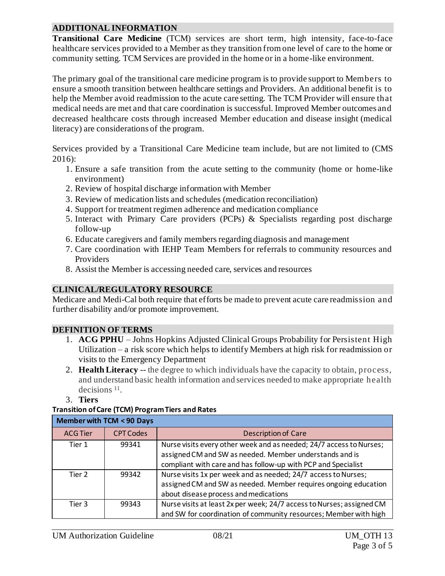### **ADDITIONAL INFORMATION**

**Transitional Care Medicine** (TCM) services are short term, high intensity, face-to-face healthcare services provided to a Member as they transition from one level of care to the home or community setting. TCM Services are provided in the home or in a home-like environment.

The primary goal of the transitional care medicine program is to provide support to Members to ensure a smooth transition between healthcare settings and Providers. An additional benefit is to help the Member avoid readmission to the acute care setting. The TCM Provider will ensure that medical needs are met and that care coordination is successful. Improved Member outcomes and decreased healthcare costs through increased Member education and disease insight (medical literacy) are considerations of the program.

Services provided by a Transitional Care Medicine team include, but are not limited to (CMS 2016):

- 1. Ensure a safe transition from the acute setting to the community (home or home-like environment)
- 2. Review of hospital discharge information with Member
- 3. Review of medication lists and schedules (medication reconciliation)
- 4. Support for treatment regimen adherence and medication compliance
- 5. Interact with Primary Care providers (PCPs) & Specialists regarding post discharge follow-up
- 6. Educate caregivers and family members regarding diagnosis and management
- 7. Care coordination with IEHP Team Members for referrals to community resources and Providers
- 8. Assist the Member is accessing needed care, services and resources

# **CLINICAL/REGULATORY RESOURCE**

Medicare and Medi-Cal both require that efforts be made to prevent acute care readmission and further disability and/or promote improvement.

## **DEFINITION OF TERMS**

- 1. **ACG PPHU** Johns Hopkins Adjusted Clinical Groups Probability for Persistent High Utilization – a risk score which helps to identify Members at high risk for readmission or visits to the Emergency Department
- 2. **Health Literacy** -- the degree to which individuals have the capacity to obtain, process, and understand basic health information and services needed to make appropriate health decisions<sup>11</sup>.
- 3. **Tiers**

# **Transition of Care (TCM) Program Tiers and Rates**

| <b>Member with TCM &lt; 90 Days</b> |                  |                                                                       |  |  |
|-------------------------------------|------------------|-----------------------------------------------------------------------|--|--|
| <b>ACG Tier</b>                     | <b>CPT Codes</b> | <b>Description of Care</b>                                            |  |  |
| Tier 1                              | 99341            | Nurse visits every other week and as needed; 24/7 access to Nurses;   |  |  |
|                                     |                  | assigned CM and SW as needed. Member understands and is               |  |  |
|                                     |                  | compliant with care and has follow-up with PCP and Specialist         |  |  |
| Tier 2                              | 99342            | Nurse visits 1x per week and as needed; 24/7 access to Nurses;        |  |  |
|                                     |                  | assigned CM and SW as needed. Member requires ongoing education       |  |  |
|                                     |                  | about disease process and medications                                 |  |  |
| Tier 3                              | 99343            | Nurse visits at least 2x per week; 24/7 access to Nurses; assigned CM |  |  |
|                                     |                  | and SW for coordination of community resources; Member with high      |  |  |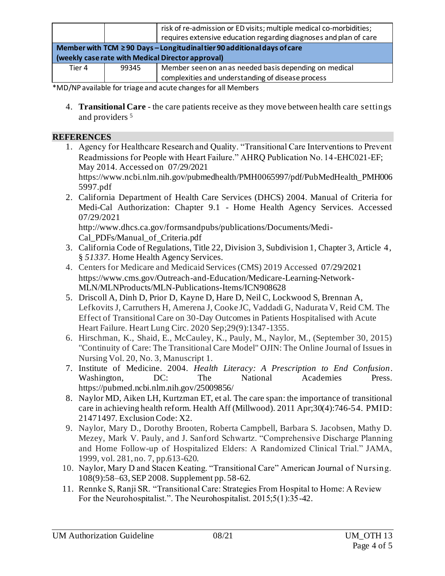|                                                                               |       | risk of re-admission or ED visits; multiple medical co-morbidities;<br>requires extensive education regarding diagnoses and plan of care |  |  |
|-------------------------------------------------------------------------------|-------|------------------------------------------------------------------------------------------------------------------------------------------|--|--|
| Member with TCM $\geq$ 90 Days - Longitudinal tier 90 additional days of care |       |                                                                                                                                          |  |  |
| (weekly case rate with Medical Director approval)                             |       |                                                                                                                                          |  |  |
| Tier 4                                                                        | 99345 | Member seen on an as needed basis depending on medical                                                                                   |  |  |
|                                                                               |       | complexities and understanding of disease process                                                                                        |  |  |

\*MD/NP available for triage and acute changes for all Members

4. **Transitional Care** - the care patients receive as they move between health care settings and providers <sup>5</sup>

#### **REFERENCES**

1. Agency for Healthcare Research and Quality. "Transitional Care Interventions to Prevent Readmissions for People with Heart Failure." AHRQ Publication No. 14-EHC021-EF; May 2014. Accessed on 07/29/2021

[https://www.ncbi.nlm.nih.gov/pubmedhealth/PMH0065997/pdf/PubMedHealth\\_PMH006](https://www.ncbi.nlm.nih.gov/pubmedhealth/PMH0065997/pdf/PubMedHealth_PMH0065997.pdf) [5997.pdf](https://www.ncbi.nlm.nih.gov/pubmedhealth/PMH0065997/pdf/PubMedHealth_PMH0065997.pdf) 

2. California Department of Health Care Services (DHCS) 2004. Manual of Criteria for Medi-Cal Authorization: Chapter 9.1 - Home Health Agency Services. Accessed 07/29/2021

[http://www.dhcs.ca.gov/formsandpubs/publications/Documents/Medi-](http://www.dhcs.ca.gov/formsandpubs/publications/Documents/Medi-Cal_PDFs/Manual_of_Criteria.pdf.)[Cal\\_PDFs/Manual\\_of\\_Criteria.pdf](http://www.dhcs.ca.gov/formsandpubs/publications/Documents/Medi-Cal_PDFs/Manual_of_Criteria.pdf.)

- 3. California Code of Regulations, Title 22, Division 3, Subdivision 1, Chapter 3, Article 4, § *51337.* Home Health Agency Services.
- 4. Centers for Medicare and Medicaid Services (CMS) 2019 Accessed 07/29/2021 [https://www.cms.gov/Outreach-and-Education/Medicare-Learning-Network-](https://www.cms.gov/Outreach-and-Education/Medicare-Learning-Network-MLN/MLNProducts/MLN-Publications-Items/ICN908628)[MLN/MLNProducts/MLN-Publications-Items/ICN908628](https://www.cms.gov/Outreach-and-Education/Medicare-Learning-Network-MLN/MLNProducts/MLN-Publications-Items/ICN908628)
- 5. Driscoll A, Dinh D, Prior D, Kayne D, Hare D, Neil C, Lockwood S, Brennan A, Lefkovits J, Carruthers H, Amerena J, Cooke JC, Vaddadi G, Nadurata V, Reid CM. The Effect of Transitional Care on 30-Day Outcomes in Patients Hospitalised with Acute Heart Failure. Heart Lung Circ. 2020 Sep;29(9):1347-1355.
- 6. Hirschman, K., Shaid, E., McCauley, K., Pauly, M., Naylor, M., (September 30, 2015) "Continuity of Care: The Transitional Care Model" OJIN: The Online Journal of Issues in Nursing Vol. 20, No. 3, Manuscript 1.
- 7. Institute of Medicine. 2004. *Health Literacy: A Prescription to End Confusion*. Washington, DC: The National Academies Press. https://pubmed.ncbi.nlm.nih.gov/25009856/
- 8. Naylor MD, Aiken LH, Kurtzman ET, et al. The care span: the importance of transitional care in achieving health reform. Health Aff (Millwood). 2011 Apr;30(4):746-54. PMID: 21471497. Exclusion Code: X2.
- 9. Naylor, Mary D., Dorothy Brooten, Roberta Campbell, Barbara S. Jacobsen, Mathy D. Mezey, Mark V. Pauly, and J. Sanford Schwartz. "Comprehensive Discharge Planning and Home Follow-up of Hospitalized Elders: A Randomized Clinical Trial." JAMA, 1999, vol. 281, no. 7, pp.613-620.
- 10. Naylor, Mary D and Stacen Keating. "Transitional Care" American Journal of Nursing. 108(9):58–63, SEP 2008. Supplement pp. 58-62.
- 11. Rennke S, Ranji SR. "Transitional Care: Strategies From Hospital to Home: A Review For the Neurohospitalist.". The Neurohospitalist. 2015;5(1):35-42.